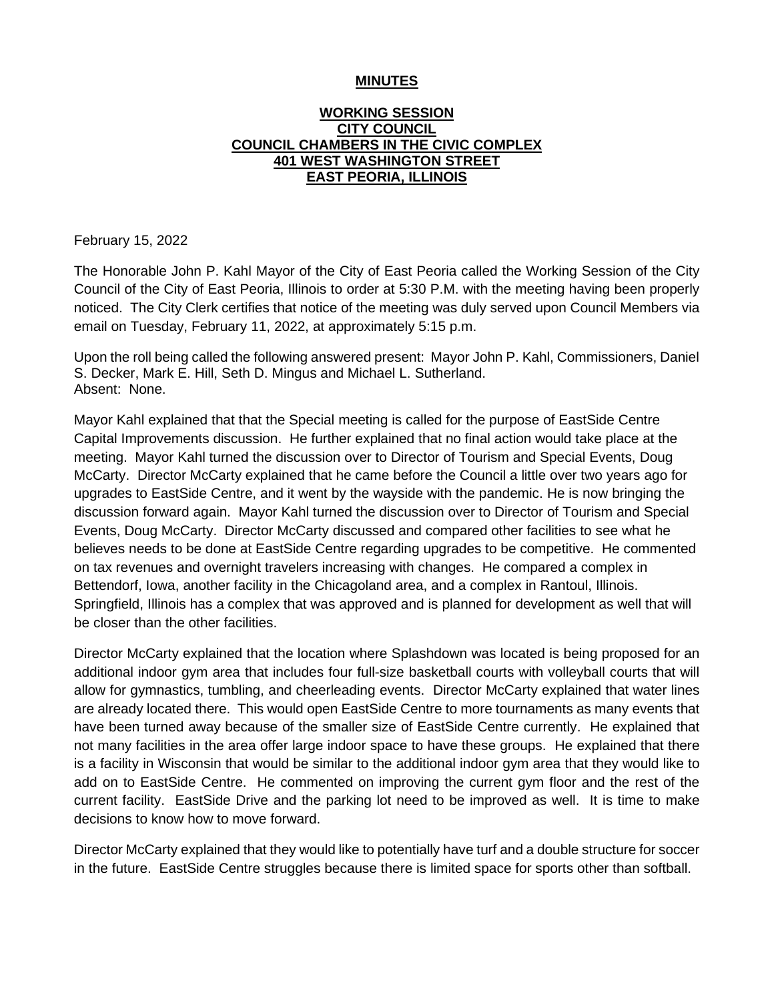## **MINUTES**

## **WORKING SESSION CITY COUNCIL COUNCIL CHAMBERS IN THE CIVIC COMPLEX 401 WEST WASHINGTON STREET EAST PEORIA, ILLINOIS**

February 15, 2022

The Honorable John P. Kahl Mayor of the City of East Peoria called the Working Session of the City Council of the City of East Peoria, Illinois to order at 5:30 P.M. with the meeting having been properly noticed. The City Clerk certifies that notice of the meeting was duly served upon Council Members via email on Tuesday, February 11, 2022, at approximately 5:15 p.m.

Upon the roll being called the following answered present: Mayor John P. Kahl, Commissioners, Daniel S. Decker, Mark E. Hill, Seth D. Mingus and Michael L. Sutherland. Absent: None.

Mayor Kahl explained that that the Special meeting is called for the purpose of EastSide Centre Capital Improvements discussion. He further explained that no final action would take place at the meeting. Mayor Kahl turned the discussion over to Director of Tourism and Special Events, Doug McCarty. Director McCarty explained that he came before the Council a little over two years ago for upgrades to EastSide Centre, and it went by the wayside with the pandemic. He is now bringing the discussion forward again. Mayor Kahl turned the discussion over to Director of Tourism and Special Events, Doug McCarty. Director McCarty discussed and compared other facilities to see what he believes needs to be done at EastSide Centre regarding upgrades to be competitive. He commented on tax revenues and overnight travelers increasing with changes. He compared a complex in Bettendorf, Iowa, another facility in the Chicagoland area, and a complex in Rantoul, Illinois. Springfield, Illinois has a complex that was approved and is planned for development as well that will be closer than the other facilities.

Director McCarty explained that the location where Splashdown was located is being proposed for an additional indoor gym area that includes four full-size basketball courts with volleyball courts that will allow for gymnastics, tumbling, and cheerleading events. Director McCarty explained that water lines are already located there. This would open EastSide Centre to more tournaments as many events that have been turned away because of the smaller size of EastSide Centre currently. He explained that not many facilities in the area offer large indoor space to have these groups. He explained that there is a facility in Wisconsin that would be similar to the additional indoor gym area that they would like to add on to EastSide Centre. He commented on improving the current gym floor and the rest of the current facility. EastSide Drive and the parking lot need to be improved as well. It is time to make decisions to know how to move forward.

Director McCarty explained that they would like to potentially have turf and a double structure for soccer in the future. EastSide Centre struggles because there is limited space for sports other than softball.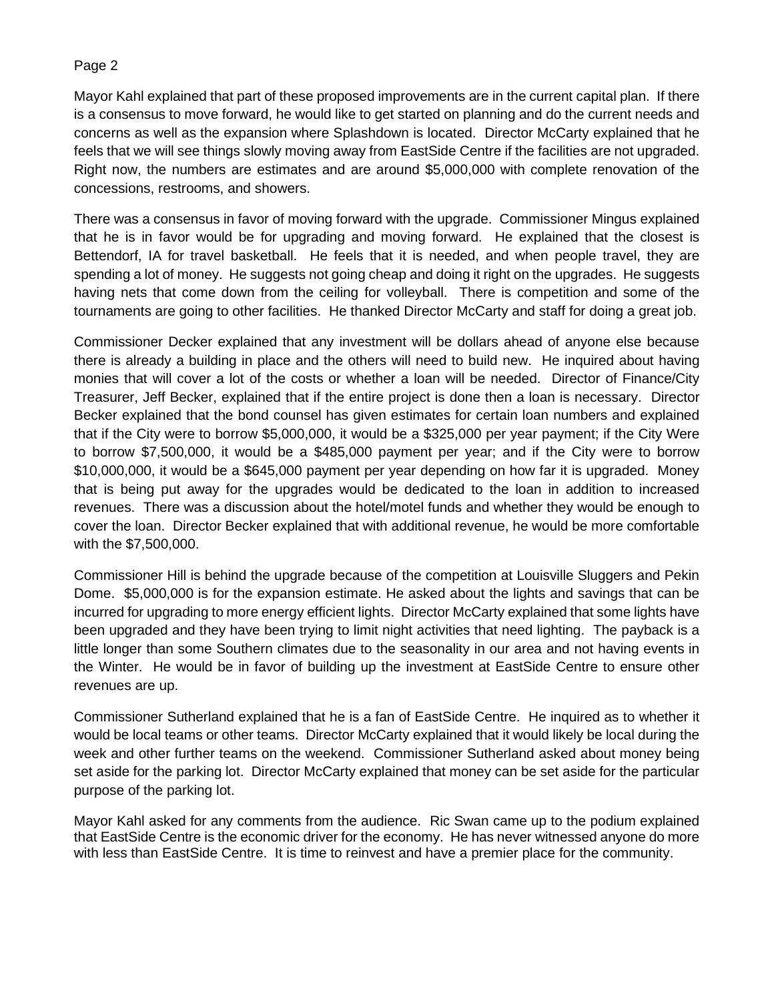## Page 2

Mayor Kahl explained that part of these proposed improvements are in the current capital plan. If there is a consensus to move forward, he would like to get started on planning and do the current needs and concerns as well as the expansion where Splashdown is located. Director McCarty explained that he feels that we will see things slowly moving away from EastSide Centre if the facilities are not upgraded. Right now, the numbers are estimates and are around \$5,000,000 with complete renovation of the concessions, restrooms, and showers.

There was a consensus in favor of moving forward with the upgrade. Commissioner Mingus explained that he is in favor would be for upgrading and moving forward. He explained that the closest is Bettendorf, IA for travel basketball. He feels that it is needed, and when people travel, they are spending a lot of money. He suggests not going cheap and doing it right on the upgrades. He suggests having nets that come down from the ceiling for volleyball. There is competition and some of the tournaments are going to other facilities. He thanked Director McCarty and staff for doing a great job.

Commissioner Decker explained that any investment will be dollars ahead of anyone else because there is already a building in place and the others will need to build new. He inquired about having monies that will cover a lot of the costs or whether a loan will be needed. Director of Finance/City Treasurer, Jeff Becker, explained that if the entire project is done then a loan is necessary. Director Becker explained that the bond counsel has given estimates for certain loan numbers and explained that if the City were to borrow \$5,000,000, it would be a \$325,000 per year payment; if the City Were to borrow \$7,500,000, it would be a \$485,000 payment per year; and if the City were to borrow \$10,000,000, it would be a \$645,000 payment per year depending on how far it is upgraded. Money that is being put away for the upgrades would be dedicated to the loan in addition to increased revenues. There was a discussion about the hotel/motel funds and whether they would be enough to cover the loan. Director Becker explained that with additional revenue, he would be more comfortable with the \$7,500,000.

Commissioner Hill is behind the upgrade because of the competition at Louisville Sluggers and Pekin Dome. \$5,000,000 is for the expansion estimate. He asked about the lights and savings that can be incurred for upgrading to more energy efficient lights. Director McCarty explained that some lights have been upgraded and they have been trying to limit night activities that need lighting. The payback is a little longer than some Southern climates due to the seasonality in our area and not having events in the Winter. He would be in favor of building up the investment at EastSide Centre to ensure other revenues are up.

Commissioner Sutherland explained that he is a fan of EastSide Centre. He inquired as to whether it would be local teams or other teams. Director McCarty explained that it would likely be local during the week and other further teams on the weekend. Commissioner Sutherland asked about money being set aside for the parking lot. Director McCarty explained that money can be set aside for the particular purpose of the parking lot.

Mayor Kahl asked for any comments from the audience. Ric Swan came up to the podium explained that EastSide Centre is the economic driver for the economy. He has never witnessed anyone do more with less than EastSide Centre. It is time to reinvest and have a premier place for the community.